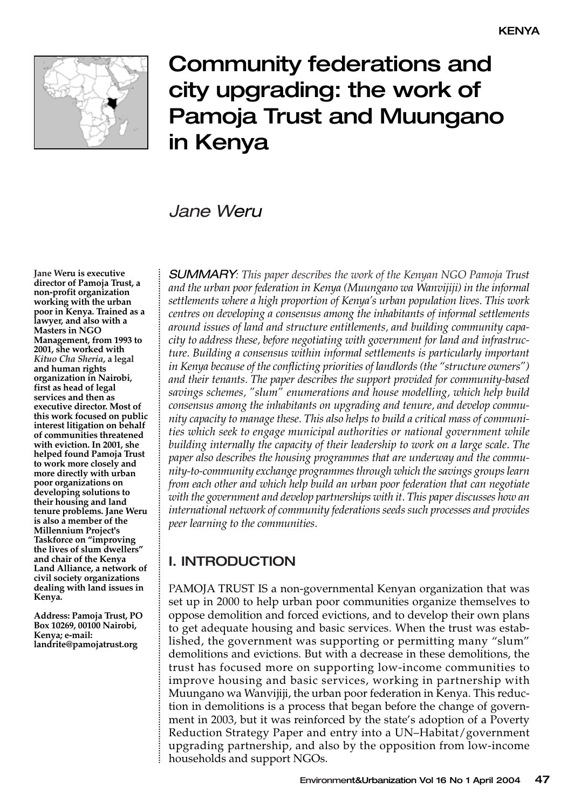

# Community federations and city upgrading: the work of Pamoja Trust and Muungano in Kenya

## *Jane Weru*

**Jane Weru is executive director of Pamoja Trust, a non-profit organization working with the urban poor in Kenya. Trained as a lawyer, and also with a Masters in NGO Management, from 1993 to 2001, she worked with** *Kituo Cha Sheria***, a legal and human rights organization in Nairobi, first as head of legal services and then as executive director. Most of this work focused on public interest litigation on behalf of communities threatened with eviction. In 2001, she helped found Pamoja Trust to work more closely and more directly with urban poor organizations on developing solutions to their housing and land tenure problems. Jane Weru is also a member of the Millennium Project's Taskforce on "improving the lives of slum dwellers" and chair of the Kenya Land Alliance, a network of civil society organizations dealing with land issues in Kenya.**

**Address: Pamoja Trust, PO Box 10269, 00100 Nairobi, Kenya; e-mail: landrite@pamojatrust.org**

*SUMMARY: This paper describes the work of the Kenyan NGO Pamoja Trust and the urban poor federation in Kenya (Muungano wa Wanvijiji) in the informal settlements where a high proportion of Kenya's urban population lives. This work centres on developing a consensus among the inhabitants of informal settlements around issues of land and structure entitlements, and building community capacity to address these, before negotiating with government for land and infrastructure. Building a consensus within informal settlements is particularly important in Kenya because of the conflicting priorities of landlords (the "structure owners") and their tenants. The paper describes the support provided for community-based savings schemes, "slum" enumerations and house modelling, which help build consensus among the inhabitants on upgrading and tenure, and develop community capacity to manage these. This also helps to build a critical mass of communities which seek to engage municipal authorities or national government while building internally the capacity of their leadership to work on a large scale. The paper also describes the housing programmes that are underway and the community-to-community exchange programmes through which the savings groups learn from each other and which help build an urban poor federation that can negotiate with the government and develop partnerships with it. This paper discusses how an international network of community federations seeds such processes and provides peer learning to the communities.*

## I. INTRODUCTION

PAMOJA TRUST IS a non-governmental Kenyan organization that was set up in 2000 to help urban poor communities organize themselves to oppose demolition and forced evictions, and to develop their own plans to get adequate housing and basic services. When the trust was established, the government was supporting or permitting many "slum" demolitions and evictions. But with a decrease in these demolitions, the trust has focused more on supporting low-income communities to improve housing and basic services, working in partnership with Muungano wa Wanvijiji, the urban poor federation in Kenya. This reduction in demolitions is a process that began before the change of government in 2003, but it was reinforced by the state's adoption of a Poverty Reduction Strategy Paper and entry into a UN–Habitat/government upgrading partnership, and also by the opposition from low-income households and support NGOs.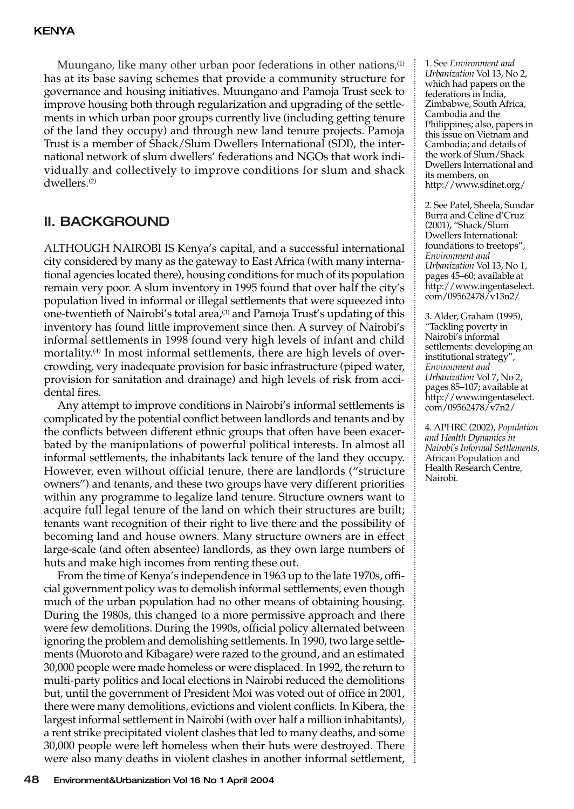Muungano, like many other urban poor federations in other nations,<sup>(1)</sup> has at its base saving schemes that provide a community structure for governance and housing initiatives. Muungano and Pamoja Trust seek to improve housing both through regularization and upgrading of the settlements in which urban poor groups currently live (including getting tenure of the land they occupy) and through new land tenure projects. Pamoja Trust is a member of Shack/Slum Dwellers International (SDI), the international network of slum dwellers' federations and NGOs that work individually and collectively to improve conditions for slum and shack dwellers.(2)

#### II. BACKGROUND

ALTHOUGH NAIROBI IS Kenya's capital, and a successful international city considered by many as the gateway to East Africa (with many international agencies located there), housing conditions for much of its population remain very poor. A slum inventory in 1995 found that over half the city's population lived in informal or illegal settlements that were squeezed into one-twentieth of Nairobi's total area,<sup>(3)</sup> and Pamoja Trust's updating of this inventory has found little improvement since then. A survey of Nairobi's informal settlements in 1998 found very high levels of infant and child mortality.<sup>(4)</sup> In most informal settlements, there are high levels of overcrowding, very inadequate provision for basic infrastructure (piped water, provision for sanitation and drainage) and high levels of risk from accidental fires.

Any attempt to improve conditions in Nairobi's informal settlements is complicated by the potential conflict between landlords and tenants and by the conflicts between different ethnic groups that often have been exacerbated by the manipulations of powerful political interests. In almost all informal settlements, the inhabitants lack tenure of the land they occupy. However, even without official tenure, there are landlords ("structure owners") and tenants, and these two groups have very different priorities within any programme to legalize land tenure. Structure owners want to acquire full legal tenure of the land on which their structures are built; tenants want recognition of their right to live there and the possibility of becoming land and house owners. Many structure owners are in effect large-scale (and often absentee) landlords, as they own large numbers of huts and make high incomes from renting these out.

From the time of Kenya's independence in 1963 up to the late 1970s, official government policy was to demolish informal settlements, even though much of the urban population had no other means of obtaining housing. During the 1980s, this changed to a more permissive approach and there were few demolitions. During the 1990s, official policy alternated between ignoring the problem and demolishing settlements. In 1990, two large settlements (Muoroto and Kibagare) were razed to the ground, and an estimated 30,000 people were made homeless or were displaced. In 1992, the return to multi-party politics and local elections in Nairobi reduced the demolitions but, until the government of President Moi was voted out of office in 2001, there were many demolitions, evictions and violent conflicts. In Kibera, the largest informal settlement in Nairobi (with over half a million inhabitants), a rent strike precipitated violent clashes that led to many deaths, and some 30,000 people were left homeless when their huts were destroyed. There were also many deaths in violent clashes in another informal settlement,

1. See *Environment and Urbanization* Vol 13, No 2, which had papers on the federations in India, Zimbabwe, South Africa, Cambodia and the Philippines; also, papers in this issue on Vietnam and Cambodia; and details of the work of Slum/Shack Dwellers International and its members, on http://www.sdinet.org/

2. See Patel, Sheela, Sundar Burra and Celine d'Cruz (2001), "Shack/Slum Dwellers International: foundations to treetops", *Environment and Urbanization* Vol 13, No 1, pages 45–60; available at http://www.ingentaselect. com/09562478/v13n2/

3. Alder, Graham (1995), "Tackling poverty in Nairobi's informal settlements: developing an institutional strategy", *Environment and Urbanization* Vol 7, No 2, pages 85–107; available at http://www.ingentaselect. com/09562478/v7n2/

4. APHRC (2002), *Population and Health Dynamics in Nairobi's Informal Settlements,* African Population and Health Research Centre, Nairobi.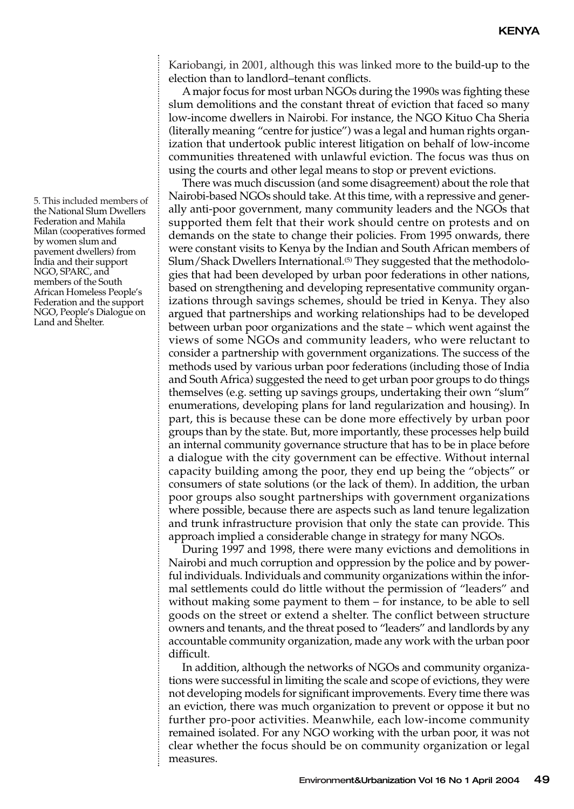Kariobangi, in 2001, although this was linked more to the build-up to the election than to landlord–tenant conflicts.

Amajor focus for most urban NGOs during the 1990s was fighting these slum demolitions and the constant threat of eviction that faced so many low-income dwellers in Nairobi. For instance, the NGO Kituo Cha Sheria (literally meaning "centre for justice") was a legal and human rights organization that undertook public interest litigation on behalf of low-income communities threatened with unlawful eviction. The focus was thus on using the courts and other legal means to stop or prevent evictions.

There was much discussion (and some disagreement) about the role that Nairobi-based NGOs should take. At this time, with a repressive and generally anti-poor government, many community leaders and the NGOs that supported them felt that their work should centre on protests and on demands on the state to change their policies. From 1995 onwards, there were constant visits to Kenya by the Indian and South African members of Slum/Shack Dwellers International.<sup>(5)</sup> They suggested that the methodologies that had been developed by urban poor federations in other nations, based on strengthening and developing representative community organizations through savings schemes, should be tried in Kenya. They also argued that partnerships and working relationships had to be developed between urban poor organizations and the state – which went against the views of some NGOs and community leaders, who were reluctant to consider a partnership with government organizations. The success of the methods used by various urban poor federations (including those of India and South Africa) suggested the need to get urban poor groups to do things themselves (e.g. setting up savings groups, undertaking their own "slum" enumerations, developing plans for land regularization and housing). In part, this is because these can be done more effectively by urban poor groups than by the state. But, more importantly, these processes help build an internal community governance structure that has to be in place before a dialogue with the city government can be effective. Without internal capacity building among the poor, they end up being the "objects" or consumers of state solutions (or the lack of them). In addition, the urban poor groups also sought partnerships with government organizations where possible, because there are aspects such as land tenure legalization and trunk infrastructure provision that only the state can provide. This approach implied a considerable change in strategy for many NGOs.

During 1997 and 1998, there were many evictions and demolitions in Nairobi and much corruption and oppression by the police and by powerful individuals. Individuals and community organizations within the informal settlements could do little without the permission of "leaders" and without making some payment to them – for instance, to be able to sell goods on the street or extend a shelter. The conflict between structure owners and tenants, and the threat posed to "leaders" and landlords by any accountable community organization, made any work with the urban poor difficult.

In addition, although the networks of NGOs and community organizations were successful in limiting the scale and scope of evictions, they were not developing models for significant improvements. Every time there was an eviction, there was much organization to prevent or oppose it but no further pro-poor activities. Meanwhile, each low-income community remained isolated. For any NGO working with the urban poor, it was not clear whether the focus should be on community organization or legal measures.

5. This included members of the National Slum Dwellers Federation and Mahila Milan (cooperatives formed by women slum and pavement dwellers) from India and their support NGO, SPARC, and members of the South African Homeless People's Federation and the support NGO, People's Dialogue on Land and Shelter.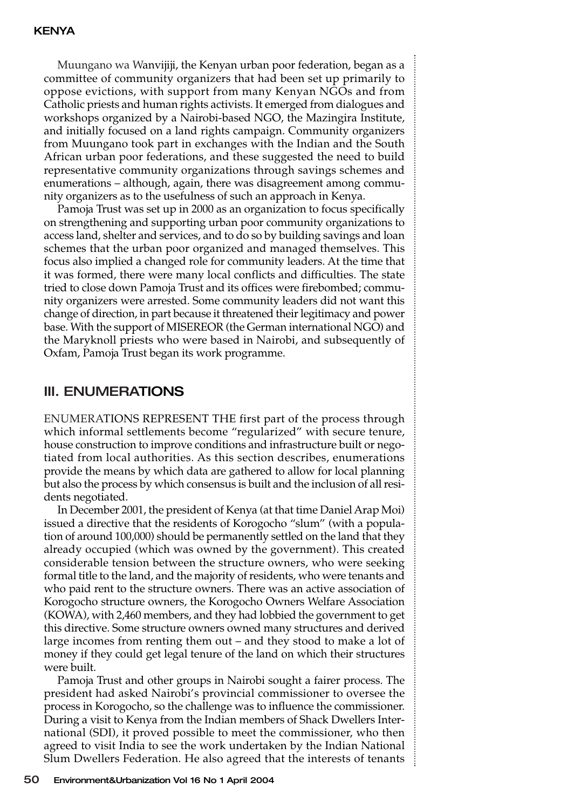Muungano wa Wanvijiji, the Kenyan urban poor federation, began as a committee of community organizers that had been set up primarily to oppose evictions, with support from many Kenyan NGOs and from Catholic priests and human rights activists. It emerged from dialogues and workshops organized by a Nairobi-based NGO, the Mazingira Institute, and initially focused on a land rights campaign. Community organizers from Muungano took part in exchanges with the Indian and the South African urban poor federations, and these suggested the need to build representative community organizations through savings schemes and enumerations – although, again, there was disagreement among community organizers as to the usefulness of such an approach in Kenya.

Pamoja Trust was set up in 2000 as an organization to focus specifically on strengthening and supporting urban poor community organizations to access land, shelter and services, and to do so by building savings and loan schemes that the urban poor organized and managed themselves. This focus also implied a changed role for community leaders. At the time that it was formed, there were many local conflicts and difficulties. The state tried to close down Pamoja Trust and its offices were firebombed; community organizers were arrested. Some community leaders did not want this change of direction, in part because it threatened their legitimacy and power base. With the support of MISEREOR (the German international NGO) and the Maryknoll priests who were based in Nairobi, and subsequently of Oxfam, Pamoja Trust began its work programme.

#### III. ENUMERATIONS

ENUMERATIONS REPRESENT THE first part of the process through which informal settlements become "regularized" with secure tenure, house construction to improve conditions and infrastructure built or negotiated from local authorities. As this section describes, enumerations provide the means by which data are gathered to allow for local planning but also the process by which consensus is built and the inclusion of all residents negotiated.

In December 2001, the president of Kenya (at that time Daniel Arap Moi) issued a directive that the residents of Korogocho "slum" (with a population of around 100,000) should be permanently settled on the land that they already occupied (which was owned by the government). This created considerable tension between the structure owners, who were seeking formal title to the land, and the majority of residents, who were tenants and who paid rent to the structure owners. There was an active association of Korogocho structure owners, the Korogocho Owners Welfare Association (KOWA), with 2,460 members, and they had lobbied the government to get this directive. Some structure owners owned many structures and derived large incomes from renting them out – and they stood to make a lot of money if they could get legal tenure of the land on which their structures were built.

Pamoja Trust and other groups in Nairobi sought a fairer process. The president had asked Nairobi's provincial commissioner to oversee the process in Korogocho, so the challenge was to influence the commissioner. During a visit to Kenya from the Indian members of Shack Dwellers International (SDI), it proved possible to meet the commissioner, who then agreed to visit India to see the work undertaken by the Indian National Slum Dwellers Federation. He also agreed that the interests of tenants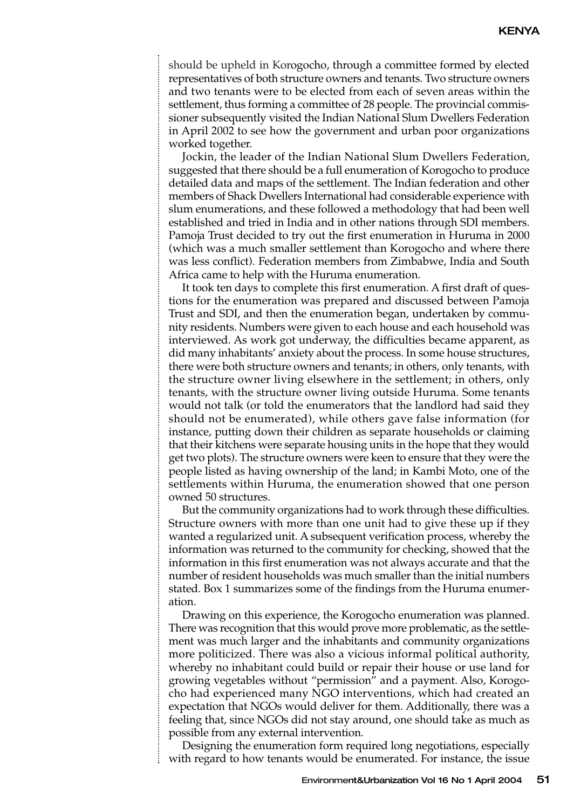should be upheld in Korogocho, through a committee formed by elected representatives of both structure owners and tenants. Two structure owners and two tenants were to be elected from each of seven areas within the settlement, thus forming a committee of 28 people. The provincial commissioner subsequently visited the Indian National Slum Dwellers Federation in April 2002 to see how the government and urban poor organizations worked together.

Jockin, the leader of the Indian National Slum Dwellers Federation, suggested that there should be a full enumeration of Korogocho to produce detailed data and maps of the settlement. The Indian federation and other members of Shack Dwellers International had considerable experience with slum enumerations, and these followed a methodology that had been well established and tried in India and in other nations through SDI members. Pamoja Trust decided to try out the first enumeration in Huruma in 2000 (which was a much smaller settlement than Korogocho and where there was less conflict). Federation members from Zimbabwe, India and South Africa came to help with the Huruma enumeration.

It took ten days to complete this first enumeration. A first draft of questions for the enumeration was prepared and discussed between Pamoja Trust and SDI, and then the enumeration began, undertaken by community residents. Numbers were given to each house and each household was interviewed. As work got underway, the difficulties became apparent, as did many inhabitants' anxiety about the process. In some house structures, there were both structure owners and tenants; in others, only tenants, with the structure owner living elsewhere in the settlement; in others, only tenants, with the structure owner living outside Huruma. Some tenants would not talk (or told the enumerators that the landlord had said they should not be enumerated), while others gave false information (for instance, putting down their children as separate households or claiming that their kitchens were separate housing units in the hope that they would get two plots). The structure owners were keen to ensure that they were the people listed as having ownership of the land; in Kambi Moto, one of the settlements within Huruma, the enumeration showed that one person owned 50 structures.

But the community organizations had to work through these difficulties. Structure owners with more than one unit had to give these up if they wanted a regularized unit. A subsequent verification process, whereby the information was returned to the community for checking, showed that the information in this first enumeration was not always accurate and that the number of resident households was much smaller than the initial numbers stated. Box 1 summarizes some of the findings from the Huruma enumeration.

Drawing on this experience, the Korogocho enumeration was planned. There was recognition that this would prove more problematic, as the settlement was much larger and the inhabitants and community organizations more politicized. There was also a vicious informal political authority, whereby no inhabitant could build or repair their house or use land for growing vegetables without "permission" and a payment. Also, Korogocho had experienced many NGO interventions, which had created an expectation that NGOs would deliver for them. Additionally, there was a feeling that, since NGOs did not stay around, one should take as much as possible from any external intervention.

Designing the enumeration form required long negotiations, especially with regard to how tenants would be enumerated. For instance, the issue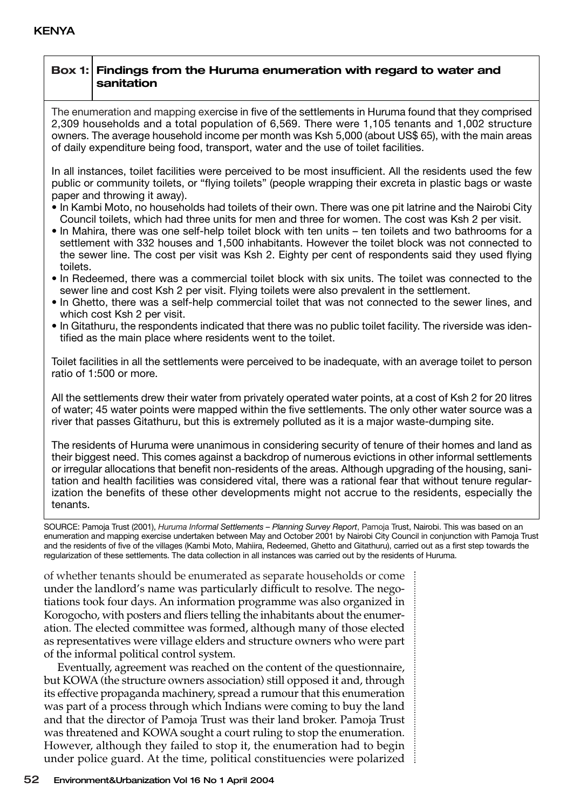#### **Box 1: Findings from the Huruma enumeration with regard to water and sanitation**

The enumeration and mapping exercise in five of the settlements in Huruma found that they comprised 2,309 households and a total population of 6,569. There were 1,105 tenants and 1,002 structure owners. The average household income per month was Ksh 5,000 (about US\$ 65), with the main areas of daily expenditure being food, transport, water and the use of toilet facilities.

In all instances, toilet facilities were perceived to be most insufficient. All the residents used the few public or community toilets, or "flying toilets" (people wrapping their excreta in plastic bags or waste paper and throwing it away).

- In Kambi Moto, no households had toilets of their own. There was one pit latrine and the Nairobi City Council toilets, which had three units for men and three for women. The cost was Ksh 2 per visit.
- In Mahira, there was one self-help toilet block with ten units ten toilets and two bathrooms for a settlement with 332 houses and 1,500 inhabitants. However the toilet block was not connected to the sewer line. The cost per visit was Ksh 2. Eighty per cent of respondents said they used flying toilets.
- In Redeemed, there was a commercial toilet block with six units. The toilet was connected to the sewer line and cost Ksh 2 per visit. Flying toilets were also prevalent in the settlement.
- In Ghetto, there was a self-help commercial toilet that was not connected to the sewer lines, and which cost Ksh 2 per visit.
- In Gitathuru, the respondents indicated that there was no public toilet facility. The riverside was identified as the main place where residents went to the toilet.

Toilet facilities in all the settlements were perceived to be inadequate, with an average toilet to person ratio of 1:500 or more.

All the settlements drew their water from privately operated water points, at a cost of Ksh 2 for 20 litres of water; 45 water points were mapped within the five settlements. The only other water source was a river that passes Gitathuru, but this is extremely polluted as it is a major waste-dumping site.

The residents of Huruma were unanimous in considering security of tenure of their homes and land as their biggest need. This comes against a backdrop of numerous evictions in other informal settlements or irregular allocations that benefit non-residents of the areas. Although upgrading of the housing, sanitation and health facilities was considered vital, there was a rational fear that without tenure regularization the benefits of these other developments might not accrue to the residents, especially the tenants.

SOURCE: Pamoja Trust (2001), *Huruma Informal Settlements – Planning Survey Report*, Pamoja Trust, Nairobi. This was based on an enumeration and mapping exercise undertaken between May and October 2001 by Nairobi City Council in conjunction with Pamoja Trust and the residents of five of the villages (Kambi Moto, Mahiira, Redeemed, Ghetto and Gitathuru), carried out as a first step towards the regularization of these settlements. The data collection in all instances was carried out by the residents of Huruma.

of whether tenants should be enumerated as separate households or come under the landlord's name was particularly difficult to resolve. The negotiations took four days. An information programme was also organized in Korogocho, with posters and fliers telling the inhabitants about the enumeration. The elected committee was formed, although many of those elected as representatives were village elders and structure owners who were part of the informal political control system.

Eventually, agreement was reached on the content of the questionnaire, but KOWA (the structure owners association) still opposed it and, through its effective propaganda machinery, spread a rumour that this enumeration was part of a process through which Indians were coming to buy the land and that the director of Pamoja Trust was their land broker. Pamoja Trust was threatened and KOWA sought a court ruling to stop the enumeration. However, although they failed to stop it, the enumeration had to begin under police guard. At the time, political constituencies were polarized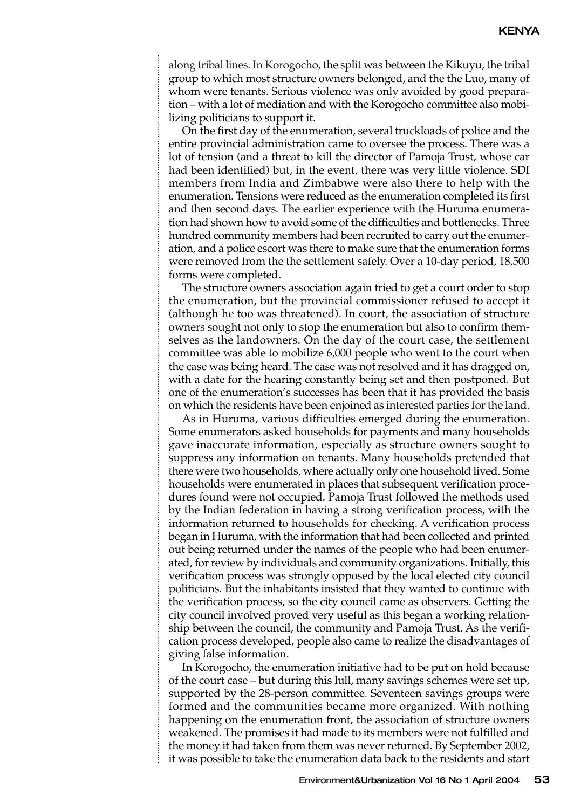along tribal lines. In Korogocho, the split was between the Kikuyu, the tribal group to which most structure owners belonged, and the the Luo, many of whom were tenants. Serious violence was only avoided by good preparation – with a lot of mediation and with the Korogocho committee also mobilizing politicians to support it.

On the first day of the enumeration, several truckloads of police and the entire provincial administration came to oversee the process. There was a lot of tension (and a threat to kill the director of Pamoja Trust, whose car had been identified) but, in the event, there was very little violence. SDI members from India and Zimbabwe were also there to help with the enumeration. Tensions were reduced as the enumeration completed its first and then second days. The earlier experience with the Huruma enumeration had shown how to avoid some of the difficulties and bottlenecks. Three hundred community members had been recruited to carry out the enumeration, and a police escort was there to make sure that the enumeration forms were removed from the the settlement safely. Over a 10-day period, 18,500 forms were completed.

The structure owners association again tried to get a court order to stop the enumeration, but the provincial commissioner refused to accept it (although he too was threatened). In court, the association of structure owners sought not only to stop the enumeration but also to confirm themselves as the landowners. On the day of the court case, the settlement committee was able to mobilize 6,000 people who went to the court when the case was being heard. The case was not resolved and it has dragged on, with a date for the hearing constantly being set and then postponed. But one of the enumeration's successes has been that it has provided the basis on which the residents have been enjoined as interested parties for the land.

As in Huruma, various difficulties emerged during the enumeration. Some enumerators asked households for payments and many households gave inaccurate information, especially as structure owners sought to suppress any information on tenants. Many households pretended that there were two households, where actually only one household lived. Some households were enumerated in places that subsequent verification procedures found were not occupied. Pamoja Trust followed the methods used by the Indian federation in having a strong verification process, with the information returned to households for checking. A verification process began in Huruma, with the information that had been collected and printed out being returned under the names of the people who had been enumerated, for review by individuals and community organizations. Initially, this verification process was strongly opposed by the local elected city council politicians. But the inhabitants insisted that they wanted to continue with the verification process, so the city council came as observers. Getting the city council involved proved very useful as this began a working relationship between the council, the community and Pamoja Trust. As the verification process developed, people also came to realize the disadvantages of giving false information.

In Korogocho, the enumeration initiative had to be put on hold because of the court case – but during this lull, many savings schemes were set up, supported by the 28-person committee. Seventeen savings groups were formed and the communities became more organized. With nothing happening on the enumeration front, the association of structure owners weakened. The promises it had made to its members were not fulfilled and the money it had taken from them was never returned. By September 2002, it was possible to take the enumeration data back to the residents and start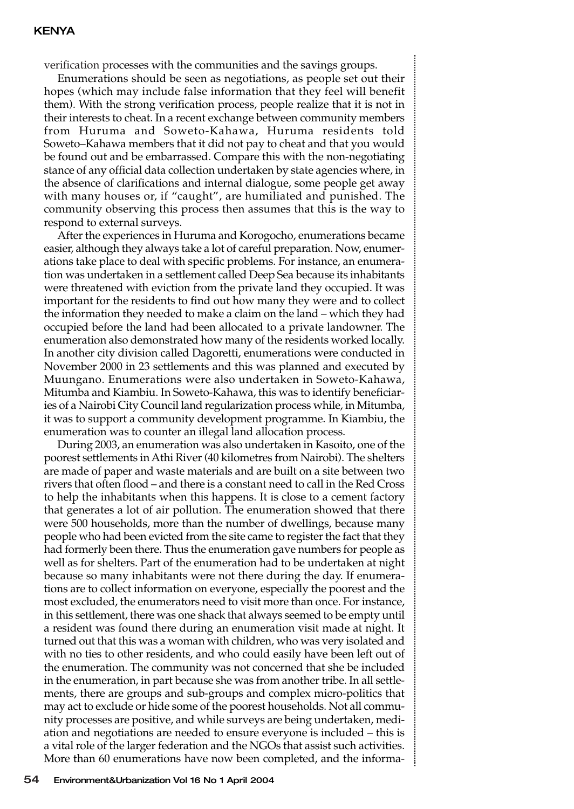verification processes with the communities and the savings groups.

Enumerations should be seen as negotiations, as people set out their hopes (which may include false information that they feel will benefit them). With the strong verification process, people realize that it is not in their interests to cheat. In a recent exchange between community members from Huruma and Soweto-Kahawa, Huruma residents told Soweto–Kahawa members that it did not pay to cheat and that you would be found out and be embarrassed. Compare this with the non-negotiating stance of any official data collection undertaken by state agencies where, in the absence of clarifications and internal dialogue, some people get away with many houses or, if "caught", are humiliated and punished. The community observing this process then assumes that this is the way to respond to external surveys.

After the experiences in Huruma and Korogocho, enumerations became easier, although they always take a lot of careful preparation. Now, enumerations take place to deal with specific problems. For instance, an enumeration was undertaken in a settlement called Deep Sea because its inhabitants were threatened with eviction from the private land they occupied. It was important for the residents to find out how many they were and to collect the information they needed to make a claim on the land – which they had occupied before the land had been allocated to a private landowner. The enumeration also demonstrated how many of the residents worked locally. In another city division called Dagoretti, enumerations were conducted in November 2000 in 23 settlements and this was planned and executed by Muungano. Enumerations were also undertaken in Soweto-Kahawa, Mitumba and Kiambiu. In Soweto-Kahawa, this was to identify beneficiaries of a Nairobi City Council land regularization process while, in Mitumba, it was to support a community development programme. In Kiambiu, the enumeration was to counter an illegal land allocation process.

During 2003, an enumeration was also undertaken in Kasoito, one of the poorest settlements in Athi River (40 kilometres from Nairobi). The shelters are made of paper and waste materials and are built on a site between two rivers that often flood – and there is a constant need to call in the Red Cross to help the inhabitants when this happens. It is close to a cement factory that generates a lot of air pollution. The enumeration showed that there were 500 households, more than the number of dwellings, because many people who had been evicted from the site came to register the fact that they had formerly been there. Thus the enumeration gave numbers for people as well as for shelters. Part of the enumeration had to be undertaken at night because so many inhabitants were not there during the day. If enumerations are to collect information on everyone, especially the poorest and the most excluded, the enumerators need to visit more than once. For instance, in this settlement, there was one shack that always seemed to be empty until a resident was found there during an enumeration visit made at night. It turned out that this was a woman with children, who was very isolated and with no ties to other residents, and who could easily have been left out of the enumeration. The community was not concerned that she be included in the enumeration, in part because she was from another tribe. In all settlements, there are groups and sub-groups and complex micro-politics that may act to exclude or hide some of the poorest households. Not all community processes are positive, and while surveys are being undertaken, mediation and negotiations are needed to ensure everyone is included – this is a vital role of the larger federation and the NGOs that assist such activities. More than 60 enumerations have now been completed, and the informa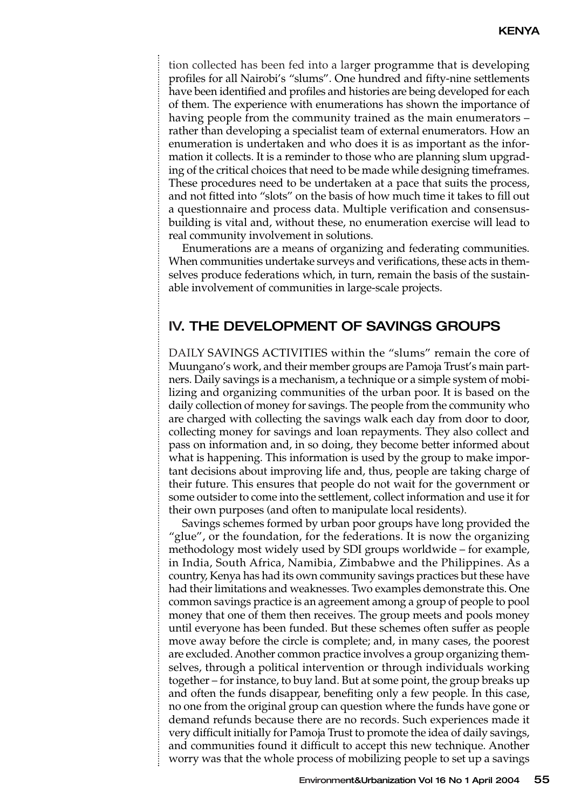tion collected has been fed into a larger programme that is developing profiles for all Nairobi's "slums". One hundred and fifty-nine settlements have been identified and profiles and histories are being developed for each of them. The experience with enumerations has shown the importance of having people from the community trained as the main enumerators – rather than developing a specialist team of external enumerators. How an enumeration is undertaken and who does it is as important as the information it collects. It is a reminder to those who are planning slum upgrading of the critical choices that need to be made while designing timeframes. These procedures need to be undertaken at a pace that suits the process, and not fitted into "slots" on the basis of how much time it takes to fill out a questionnaire and process data. Multiple verification and consensusbuilding is vital and, without these, no enumeration exercise will lead to real community involvement in solutions.

Enumerations are a means of organizing and federating communities. When communities undertake surveys and verifications, these acts in themselves produce federations which, in turn, remain the basis of the sustainable involvement of communities in large-scale projects.

#### IV. THE DEVELOPMENT OF SAVINGS GROUPS

DAILY SAVINGS ACTIVITIES within the "slums" remain the core of Muungano's work, and their member groups are Pamoja Trust's main partners. Daily savings is a mechanism, a technique or a simple system of mobilizing and organizing communities of the urban poor. It is based on the daily collection of money for savings. The people from the community who are charged with collecting the savings walk each day from door to door, collecting money for savings and loan repayments. They also collect and pass on information and, in so doing, they become better informed about what is happening. This information is used by the group to make important decisions about improving life and, thus, people are taking charge of their future. This ensures that people do not wait for the government or some outsider to come into the settlement, collect information and use it for their own purposes (and often to manipulate local residents).

Savings schemes formed by urban poor groups have long provided the "glue", or the foundation, for the federations. It is now the organizing methodology most widely used by SDI groups worldwide – for example, in India, South Africa, Namibia, Zimbabwe and the Philippines. As a country, Kenya has had its own community savings practices but these have had their limitations and weaknesses. Two examples demonstrate this. One common savings practice is an agreement among a group of people to pool money that one of them then receives. The group meets and pools money until everyone has been funded. But these schemes often suffer as people move away before the circle is complete; and, in many cases, the poorest are excluded. Another common practice involves a group organizing themselves, through a political intervention or through individuals working together – for instance, to buy land. But at some point, the group breaks up and often the funds disappear, benefiting only a few people. In this case, no one from the original group can question where the funds have gone or demand refunds because there are no records. Such experiences made it very difficult initially for Pamoja Trust to promote the idea of daily savings, and communities found it difficult to accept this new technique. Another worry was that the whole process of mobilizing people to set up a savings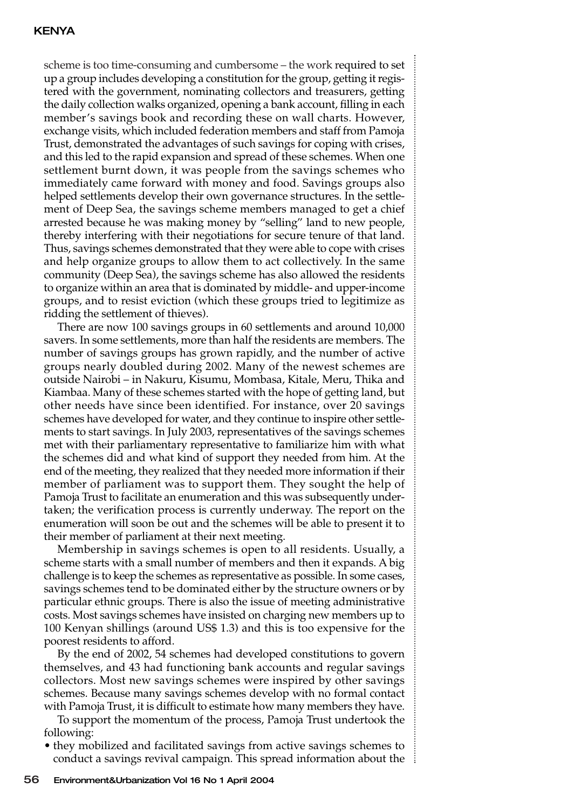scheme is too time-consuming and cumbersome – the work required to set up a group includes developing a constitution for the group, getting it registered with the government, nominating collectors and treasurers, getting the daily collection walks organized, opening a bank account, filling in each member's savings book and recording these on wall charts. However, exchange visits, which included federation members and staff from Pamoja Trust, demonstrated the advantages of such savings for coping with crises, and this led to the rapid expansion and spread of these schemes. When one settlement burnt down, it was people from the savings schemes who immediately came forward with money and food. Savings groups also helped settlements develop their own governance structures. In the settlement of Deep Sea, the savings scheme members managed to get a chief arrested because he was making money by "selling" land to new people, thereby interfering with their negotiations for secure tenure of that land. Thus, savings schemes demonstrated that they were able to cope with crises and help organize groups to allow them to act collectively. In the same community (Deep Sea), the savings scheme has also allowed the residents to organize within an area that is dominated by middle- and upper-income groups, and to resist eviction (which these groups tried to legitimize as ridding the settlement of thieves).

There are now 100 savings groups in 60 settlements and around 10,000 savers. In some settlements, more than half the residents are members. The number of savings groups has grown rapidly, and the number of active groups nearly doubled during 2002. Many of the newest schemes are outside Nairobi – in Nakuru, Kisumu, Mombasa, Kitale, Meru, Thika and Kiambaa. Many of these schemes started with the hope of getting land, but other needs have since been identified. For instance, over 20 savings schemes have developed for water, and they continue to inspire other settlements to start savings. In July 2003, representatives of the savings schemes met with their parliamentary representative to familiarize him with what the schemes did and what kind of support they needed from him. At the end of the meeting, they realized that they needed more information if their member of parliament was to support them. They sought the help of Pamoja Trust to facilitate an enumeration and this was subsequently undertaken; the verification process is currently underway. The report on the enumeration will soon be out and the schemes will be able to present it to their member of parliament at their next meeting.

Membership in savings schemes is open to all residents. Usually, a scheme starts with a small number of members and then it expands. A big challenge is to keep the schemes as representative as possible. In some cases, savings schemes tend to be dominated either by the structure owners or by particular ethnic groups. There is also the issue of meeting administrative costs. Most savings schemes have insisted on charging new members up to 100 Kenyan shillings (around US\$ 1.3) and this is too expensive for the poorest residents to afford.

By the end of 2002, 54 schemes had developed constitutions to govern themselves, and 43 had functioning bank accounts and regular savings collectors. Most new savings schemes were inspired by other savings schemes. Because many savings schemes develop with no formal contact with Pamoja Trust, it is difficult to estimate how many members they have.

To support the momentum of the process, Pamoja Trust undertook the following:

• they mobilized and facilitated savings from active savings schemes to conduct a savings revival campaign. This spread information about the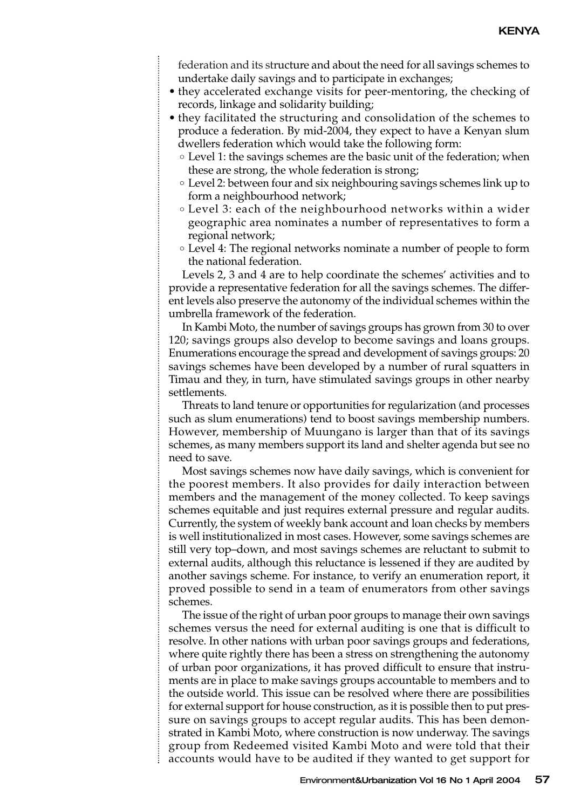federation and its structure and about the need for all savings schemes to undertake daily savings and to participate in exchanges;

- they accelerated exchange visits for peer-mentoring, the checking of records, linkage and solidarity building;
- they facilitated the structuring and consolidation of the schemes to produce a federation. By mid-2004, they expect to have a Kenyan slum dwellers federation which would take the following form:
	- Level 1: the savings schemes are the basic unit of the federation; when these are strong, the whole federation is strong;
	- Level 2: between four and six neighbouring savings schemes link up to form a neighbourhood network;
	- Level 3: each of the neighbourhood networks within a wider geographic area nominates a number of representatives to form a regional network;
	- Level 4: The regional networks nominate a number of people to form the national federation.

Levels 2, 3 and 4 are to help coordinate the schemes' activities and to provide a representative federation for all the savings schemes. The different levels also preserve the autonomy of the individual schemes within the umbrella framework of the federation.

In Kambi Moto, the number of savings groups has grown from 30 to over 120; savings groups also develop to become savings and loans groups. Enumerations encourage the spread and development of savings groups: 20 savings schemes have been developed by a number of rural squatters in Timau and they, in turn, have stimulated savings groups in other nearby settlements.

Threats to land tenure or opportunities for regularization (and processes such as slum enumerations) tend to boost savings membership numbers. However, membership of Muungano is larger than that of its savings schemes, as many members support its land and shelter agenda but see no need to save.

Most savings schemes now have daily savings, which is convenient for the poorest members. It also provides for daily interaction between members and the management of the money collected. To keep savings schemes equitable and just requires external pressure and regular audits. Currently, the system of weekly bank account and loan checks by members is well institutionalized in most cases. However, some savings schemes are still very top–down, and most savings schemes are reluctant to submit to external audits, although this reluctance is lessened if they are audited by another savings scheme. For instance, to verify an enumeration report, it proved possible to send in a team of enumerators from other savings schemes.

The issue of the right of urban poor groups to manage their own savings schemes versus the need for external auditing is one that is difficult to resolve. In other nations with urban poor savings groups and federations, where quite rightly there has been a stress on strengthening the autonomy of urban poor organizations, it has proved difficult to ensure that instruments are in place to make savings groups accountable to members and to the outside world. This issue can be resolved where there are possibilities for external support for house construction, as it is possible then to put pressure on savings groups to accept regular audits. This has been demonstrated in Kambi Moto, where construction is now underway. The savings group from Redeemed visited Kambi Moto and were told that their accounts would have to be audited if they wanted to get support for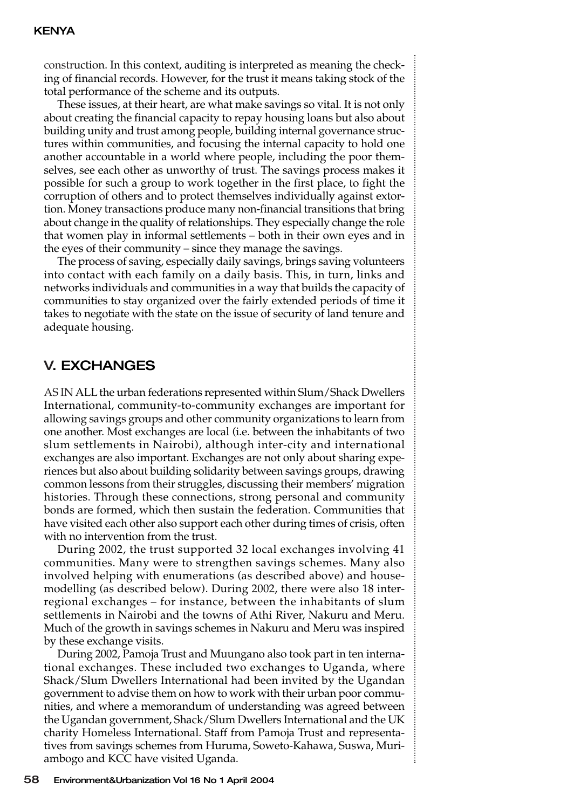construction. In this context, auditing is interpreted as meaning the checking of financial records. However, for the trust it means taking stock of the total performance of the scheme and its outputs.

These issues, at their heart, are what make savings so vital. It is not only about creating the financial capacity to repay housing loans but also about building unity and trust among people, building internal governance structures within communities, and focusing the internal capacity to hold one another accountable in a world where people, including the poor themselves, see each other as unworthy of trust. The savings process makes it possible for such a group to work together in the first place, to fight the corruption of others and to protect themselves individually against extortion. Money transactions produce many non-financial transitions that bring about change in the quality of relationships. They especially change the role that women play in informal settlements – both in their own eyes and in the eyes of their community – since they manage the savings.

The process of saving, especially daily savings, brings saving volunteers into contact with each family on a daily basis. This, in turn, links and networks individuals and communities in a way that builds the capacity of communities to stay organized over the fairly extended periods of time it takes to negotiate with the state on the issue of security of land tenure and adequate housing.

#### V. EXCHANGES

AS IN ALL the urban federations represented within Slum/Shack Dwellers International, community-to-community exchanges are important for allowing savings groups and other community organizations to learn from one another. Most exchanges are local (i.e. between the inhabitants of two slum settlements in Nairobi), although inter-city and international exchanges are also important. Exchanges are not only about sharing experiences but also about building solidarity between savings groups, drawing common lessons from their struggles, discussing their members' migration histories. Through these connections, strong personal and community bonds are formed, which then sustain the federation. Communities that have visited each other also support each other during times of crisis, often with no intervention from the trust.

During 2002, the trust supported 32 local exchanges involving 41 communities. Many were to strengthen savings schemes. Many also involved helping with enumerations (as described above) and housemodelling (as described below). During 2002, there were also 18 interregional exchanges – for instance, between the inhabitants of slum settlements in Nairobi and the towns of Athi River, Nakuru and Meru. Much of the growth in savings schemes in Nakuru and Meru was inspired by these exchange visits.

During 2002, Pamoja Trust and Muungano also took part in ten international exchanges. These included two exchanges to Uganda, where Shack/Slum Dwellers International had been invited by the Ugandan government to advise them on how to work with their urban poor communities, and where a memorandum of understanding was agreed between the Ugandan government, Shack/Slum Dwellers International and the UK charity Homeless International. Staff from Pamoja Trust and representatives from savings schemes from Huruma, Soweto-Kahawa, Suswa, Muriambogo and KCC have visited Uganda.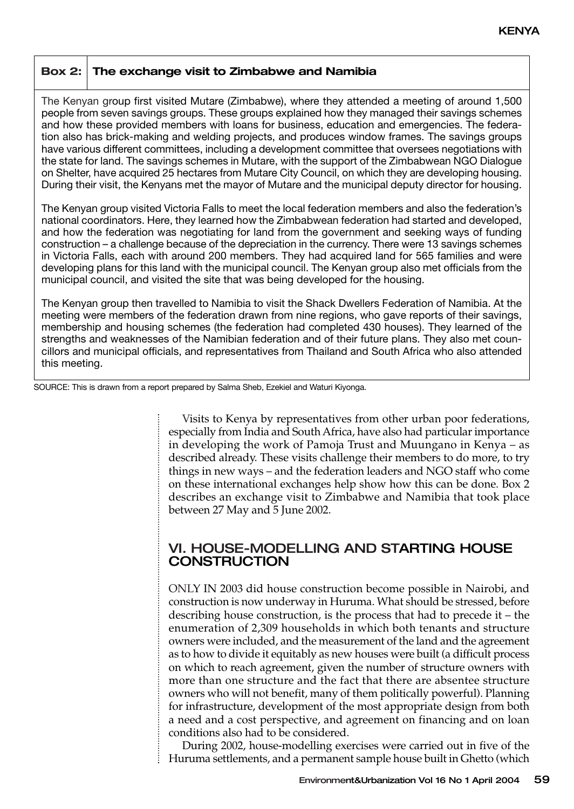#### **Box 2: The exchange visit to Zimbabwe and Namibia**

The Kenyan group first visited Mutare (Zimbabwe), where they attended a meeting of around 1,500 people from seven savings groups. These groups explained how they managed their savings schemes and how these provided members with loans for business, education and emergencies. The federation also has brick-making and welding projects, and produces window frames. The savings groups have various different committees, including a development committee that oversees negotiations with the state for land. The savings schemes in Mutare, with the support of the Zimbabwean NGO Dialogue on Shelter, have acquired 25 hectares from Mutare City Council, on which they are developing housing. During their visit, the Kenyans met the mayor of Mutare and the municipal deputy director for housing.

The Kenyan group visited Victoria Falls to meet the local federation members and also the federation's national coordinators. Here, they learned how the Zimbabwean federation had started and developed, and how the federation was negotiating for land from the government and seeking ways of funding construction – a challenge because of the depreciation in the currency. There were 13 savings schemes in Victoria Falls, each with around 200 members. They had acquired land for 565 families and were developing plans for this land with the municipal council. The Kenyan group also met officials from the municipal council, and visited the site that was being developed for the housing.

The Kenyan group then travelled to Namibia to visit the Shack Dwellers Federation of Namibia. At the meeting were members of the federation drawn from nine regions, who gave reports of their savings, membership and housing schemes (the federation had completed 430 houses). They learned of the strengths and weaknesses of the Namibian federation and of their future plans. They also met councillors and municipal officials, and representatives from Thailand and South Africa who also attended this meeting.

SOURCE: This is drawn from a report prepared by Salma Sheb, Ezekiel and Waturi Kiyonga.

Visits to Kenya by representatives from other urban poor federations, especially from India and South Africa, have also had particular importance in developing the work of Pamoja Trust and Muungano in Kenya – as described already. These visits challenge their members to do more, to try things in new ways – and the federation leaders and NGO staff who come on these international exchanges help show how this can be done. Box 2 describes an exchange visit to Zimbabwe and Namibia that took place between 27 May and 5 June 2002.

#### VI. HOUSE-MODELLING AND STARTING HOUSE **CONSTRUCTION**

ONLY IN 2003 did house construction become possible in Nairobi, and construction is now underway in Huruma. What should be stressed, before describing house construction, is the process that had to precede it – the enumeration of 2,309 households in which both tenants and structure owners were included, and the measurement of the land and the agreement as to how to divide it equitably as new houses were built (a difficult process on which to reach agreement, given the number of structure owners with more than one structure and the fact that there are absentee structure owners who will not benefit, many of them politically powerful). Planning for infrastructure, development of the most appropriate design from both a need and a cost perspective, and agreement on financing and on loan conditions also had to be considered.

During 2002, house-modelling exercises were carried out in five of the Huruma settlements, and a permanent sample house built in Ghetto (which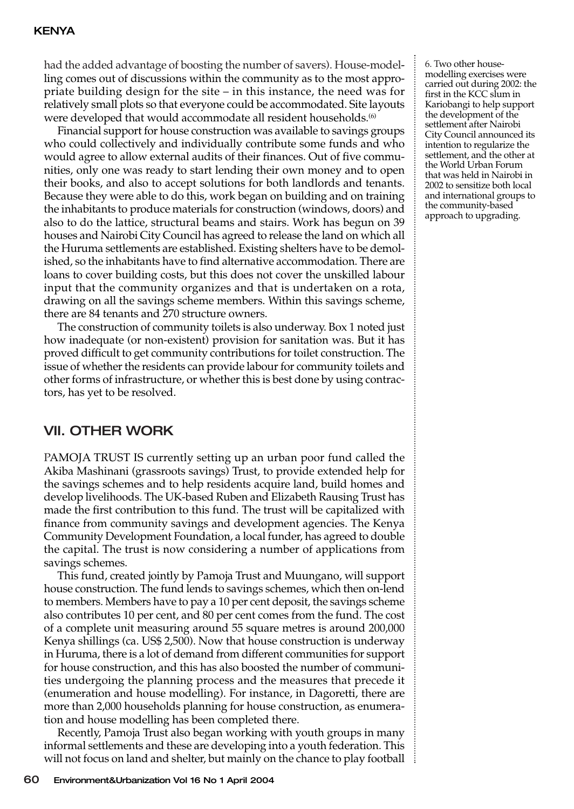had the added advantage of boosting the number of savers). House-modelling comes out of discussions within the community as to the most appropriate building design for the site – in this instance, the need was for relatively small plots so that everyone could be accommodated. Site layouts were developed that would accommodate all resident households.<sup>(6)</sup>

Financial support for house construction was available to savings groups who could collectively and individually contribute some funds and who would agree to allow external audits of their finances. Out of five communities, only one was ready to start lending their own money and to open their books, and also to accept solutions for both landlords and tenants. Because they were able to do this, work began on building and on training the inhabitants to produce materials for construction (windows, doors) and also to do the lattice, structural beams and stairs. Work has begun on 39 houses and Nairobi City Council has agreed to release the land on which all the Huruma settlements are established. Existing shelters have to be demolished, so the inhabitants have to find alternative accommodation. There are loans to cover building costs, but this does not cover the unskilled labour input that the community organizes and that is undertaken on a rota, drawing on all the savings scheme members. Within this savings scheme, there are 84 tenants and 270 structure owners.

The construction of community toilets is also underway. Box 1 noted just how inadequate (or non-existent) provision for sanitation was. But it has proved difficult to get community contributions for toilet construction. The issue of whether the residents can provide labour for community toilets and other forms of infrastructure, or whether this is best done by using contractors, has yet to be resolved.

#### VII. OTHER WORK

PAMOJA TRUST IS currently setting up an urban poor fund called the Akiba Mashinani (grassroots savings) Trust, to provide extended help for the savings schemes and to help residents acquire land, build homes and develop livelihoods. The UK-based Ruben and Elizabeth Rausing Trust has made the first contribution to this fund. The trust will be capitalized with finance from community savings and development agencies. The Kenya Community Development Foundation, a local funder, has agreed to double the capital. The trust is now considering a number of applications from savings schemes.

This fund, created jointly by Pamoja Trust and Muungano, will support house construction. The fund lends to savings schemes, which then on-lend to members. Members have to pay a 10 per cent deposit, the savings scheme also contributes 10 per cent, and 80 per cent comes from the fund. The cost of a complete unit measuring around 55 square metres is around 200,000 Kenya shillings (ca. US\$ 2,500). Now that house construction is underway in Huruma, there is a lot of demand from different communities for support for house construction, and this has also boosted the number of communities undergoing the planning process and the measures that precede it (enumeration and house modelling). For instance, in Dagoretti, there are more than 2,000 households planning for house construction, as enumeration and house modelling has been completed there.

Recently, Pamoja Trust also began working with youth groups in many informal settlements and these are developing into a youth federation. This will not focus on land and shelter, but mainly on the chance to play football :

6. Two other housemodelling exercises were carried out during 2002: the first in the KCC slum in Kariobangi to help support the development of the settlement after Nairobi City Council announced its intention to regularize the settlement, and the other at the World Urban Forum that was held in Nairobi in 2002 to sensitize both local and international groups to the community-based approach to upgrading.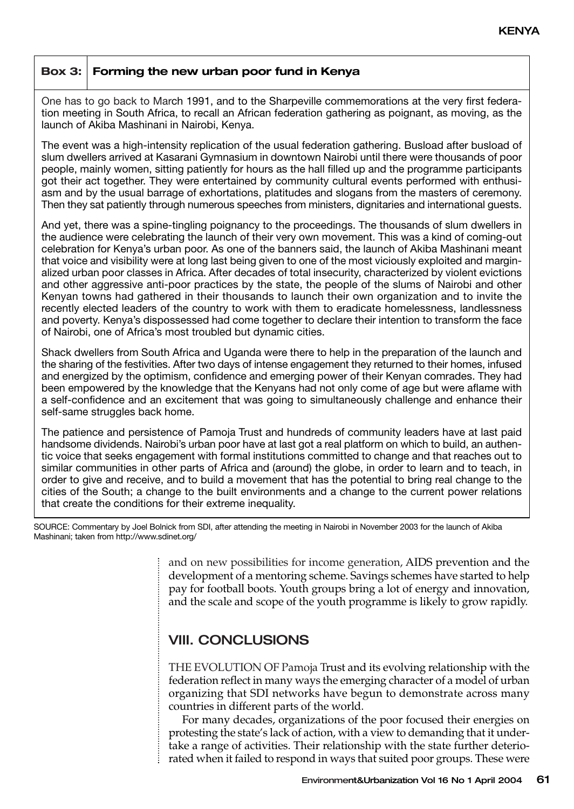#### **Box 3: Forming the new urban poor fund in Kenya**

One has to go back to March 1991, and to the Sharpeville commemorations at the very first federation meeting in South Africa, to recall an African federation gathering as poignant, as moving, as the launch of Akiba Mashinani in Nairobi, Kenya.

The event was a high-intensity replication of the usual federation gathering. Busload after busload of slum dwellers arrived at Kasarani Gymnasium in downtown Nairobi until there were thousands of poor people, mainly women, sitting patiently for hours as the hall filled up and the programme participants got their act together. They were entertained by community cultural events performed with enthusiasm and by the usual barrage of exhortations, platitudes and slogans from the masters of ceremony. Then they sat patiently through numerous speeches from ministers, dignitaries and international guests.

And yet, there was a spine-tingling poignancy to the proceedings. The thousands of slum dwellers in the audience were celebrating the launch of their very own movement. This was a kind of coming-out celebration for Kenya's urban poor. As one of the banners said, the launch of Akiba Mashinani meant that voice and visibility were at long last being given to one of the most viciously exploited and marginalized urban poor classes in Africa. After decades of total insecurity, characterized by violent evictions and other aggressive anti-poor practices by the state, the people of the slums of Nairobi and other Kenyan towns had gathered in their thousands to launch their own organization and to invite the recently elected leaders of the country to work with them to eradicate homelessness, landlessness and poverty. Kenya's dispossessed had come together to declare their intention to transform the face of Nairobi, one of Africa's most troubled but dynamic cities.

Shack dwellers from South Africa and Uganda were there to help in the preparation of the launch and the sharing of the festivities. After two days of intense engagement they returned to their homes, infused and energized by the optimism, confidence and emerging power of their Kenyan comrades. They had been empowered by the knowledge that the Kenyans had not only come of age but were aflame with a self-confidence and an excitement that was going to simultaneously challenge and enhance their self-same struggles back home.

The patience and persistence of Pamoja Trust and hundreds of community leaders have at last paid handsome dividends. Nairobi's urban poor have at last got a real platform on which to build, an authentic voice that seeks engagement with formal institutions committed to change and that reaches out to similar communities in other parts of Africa and (around) the globe, in order to learn and to teach, in order to give and receive, and to build a movement that has the potential to bring real change to the cities of the South; a change to the built environments and a change to the current power relations that create the conditions for their extreme inequality.

SOURCE: Commentary by Joel Bolnick from SDI, after attending the meeting in Nairobi in November 2003 for the launch of Akiba Mashinani; taken from http://www.sdinet.org/

> and on new possibilities for income generation, AIDS prevention and the development of a mentoring scheme. Savings schemes have started to help pay for football boots. Youth groups bring a lot of energy and innovation, and the scale and scope of the youth programme is likely to grow rapidly.

### VIII. CONCLUSIONS

THE EVOLUTION OF Pamoja Trust and its evolving relationship with the federation reflect in many ways the emerging character of a model of urban organizing that SDI networks have begun to demonstrate across many countries in different parts of the world.

For many decades, organizations of the poor focused their energies on protesting the state's lack of action, with a view to demanding that it undertake a range of activities. Their relationship with the state further deteriorated when it failed to respond in ways that suited poor groups. These were